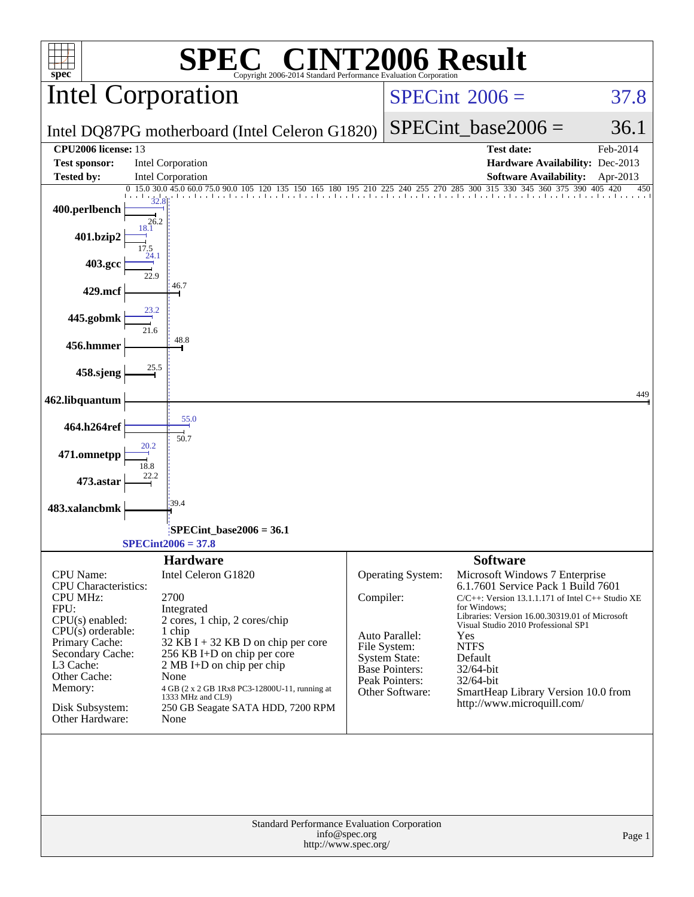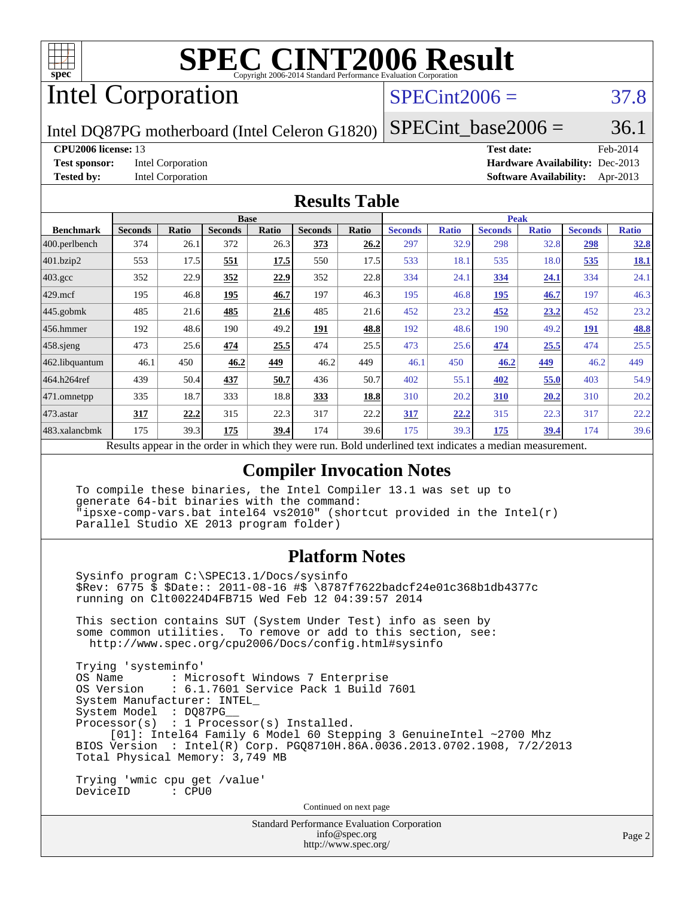

# Intel Corporation

# $SPECint2006 = 37.8$  $SPECint2006 = 37.8$

Intel DQ87PG motherboard (Intel Celeron G1820)

SPECint base2006 =  $36.1$ 

#### **[CPU2006 license:](http://www.spec.org/auto/cpu2006/Docs/result-fields.html#CPU2006license)** 13 **[Test date:](http://www.spec.org/auto/cpu2006/Docs/result-fields.html#Testdate)** Feb-2014

**[Test sponsor:](http://www.spec.org/auto/cpu2006/Docs/result-fields.html#Testsponsor)** Intel Corporation **[Hardware Availability:](http://www.spec.org/auto/cpu2006/Docs/result-fields.html#HardwareAvailability)** Dec-2013 **[Tested by:](http://www.spec.org/auto/cpu2006/Docs/result-fields.html#Testedby)** Intel Corporation **[Software Availability:](http://www.spec.org/auto/cpu2006/Docs/result-fields.html#SoftwareAvailability)** Apr-2013

#### **[Results Table](http://www.spec.org/auto/cpu2006/Docs/result-fields.html#ResultsTable)**

|                    | <b>Base</b>                                                     |       |                |             |                | <b>Peak</b> |                                            |              |                |              |                |              |
|--------------------|-----------------------------------------------------------------|-------|----------------|-------------|----------------|-------------|--------------------------------------------|--------------|----------------|--------------|----------------|--------------|
| <b>Benchmark</b>   | <b>Seconds</b>                                                  | Ratio | <b>Seconds</b> | Ratio       | <b>Seconds</b> | Ratio       | <b>Seconds</b>                             | <b>Ratio</b> | <b>Seconds</b> | <b>Ratio</b> | <b>Seconds</b> | <b>Ratio</b> |
| $ 400$ .perlbench  | 374                                                             | 26.1  | 372            | 26.3        | 373            | 26.2        | 297                                        | 32.9         | 298            | 32.8         | 298            | 32.8         |
| 401.bzip2          | 553                                                             | 17.5  | 551            | 17.5        | 550            | 17.5        | 533                                        | 18.1         | 535            | 18.0         | 535            | <b>18.1</b>  |
| $403.\mathrm{gcc}$ | 352                                                             | 22.9  | 352            | <u>22.9</u> | 352            | 22.8        | 334                                        | 24.1         | 334            | <u>24.1</u>  | 334            | 24.1         |
| $429$ mcf          | 195                                                             | 46.8  | 195            | 46.7        | 197            | 46.3        | 195                                        | 46.8         | 195            | 46.7         | 197            | 46.3         |
| $445$ .gobmk       | 485                                                             | 21.6  | 485            | 21.6        | 485            | 21.6        | 452                                        | 23.2         | 452            | 23.2         | 452            | 23.2         |
| 456.hmmer          | 192                                                             | 48.6  | 190            | 49.2        | 191            | 48.8        | 192                                        | 48.6         | 190            | 49.2         | <b>191</b>     | 48.8         |
| $458$ .sjeng       | 473                                                             | 25.6  | 474            | 25.5        | 474            | 25.5        | 473                                        | 25.6         | 474            | 25.5         | 474            | 25.5         |
| 462.libquantum     | 46.1                                                            | 450   | 46.2           | 449         | 46.2           | 449         | 46.1                                       | 450          | 46.2           | 449          | 46.2           | 449          |
| 464.h264ref        | 439                                                             | 50.4  | 437            | 50.7        | 436            | 50.7        | 402                                        | 55.1         | 402            | 55.0         | 403            | 54.9         |
| 471.omnetpp        | 335                                                             | 18.7  | 333            | 18.8        | 333            | 18.8        | 310                                        | 20.2         | <b>310</b>     | 20.2         | 310            | 20.2         |
| $ 473$ . astar     | 317                                                             | 22.2  | 315            | 22.3        | 317            | 22.2        | 317                                        | 22.2         | 315            | 22.3         | 317            | 22.2         |
| 483.xalancbmk      | 175                                                             | 39.3  | 175            | 39.4        | 174            | 39.6        | 175                                        | 39.3         | 175            | 39.4         | 174            | 39.6         |
|                    | Describe announced to the conduction of the theory occupations. |       |                |             |                |             | Deld and called to an indicate on a madian |              |                |              |                |              |

Results appear in the [order in which they were run.](http://www.spec.org/auto/cpu2006/Docs/result-fields.html#RunOrder) Bold underlined text [indicates a median measurement.](http://www.spec.org/auto/cpu2006/Docs/result-fields.html#Median)

### **[Compiler Invocation Notes](http://www.spec.org/auto/cpu2006/Docs/result-fields.html#CompilerInvocationNotes)**

 To compile these binaries, the Intel Compiler 13.1 was set up to generate 64-bit binaries with the command: "ipsxe-comp-vars.bat intel64 vs2010" (shortcut provided in the Intel(r) Parallel Studio XE 2013 program folder)

### **[Platform Notes](http://www.spec.org/auto/cpu2006/Docs/result-fields.html#PlatformNotes)**

 Sysinfo program C:\SPEC13.1/Docs/sysinfo \$Rev: 6775 \$ \$Date:: 2011-08-16 #\$ \8787f7622badcf24e01c368b1db4377c running on Clt00224D4FB715 Wed Feb 12 04:39:57 2014

 This section contains SUT (System Under Test) info as seen by some common utilities. To remove or add to this section, see: <http://www.spec.org/cpu2006/Docs/config.html#sysinfo>

 Trying 'systeminfo' : Microsoft Windows 7 Enterprise OS Version : 6.1.7601 Service Pack 1 Build 7601 System Manufacturer: INTEL\_ System Model : DQ87PG\_\_ Processor(s) : 1 Processor(s) Installed. [01]: Intel64 Family 6 Model 60 Stepping 3 GenuineIntel ~2700 Mhz BIOS Version : Intel(R) Corp. PGQ8710H.86A.0036.2013.0702.1908, 7/2/2013 Total Physical Memory: 3,749 MB

 Trying 'wmic cpu get /value' DeviceID : CPU0

Continued on next page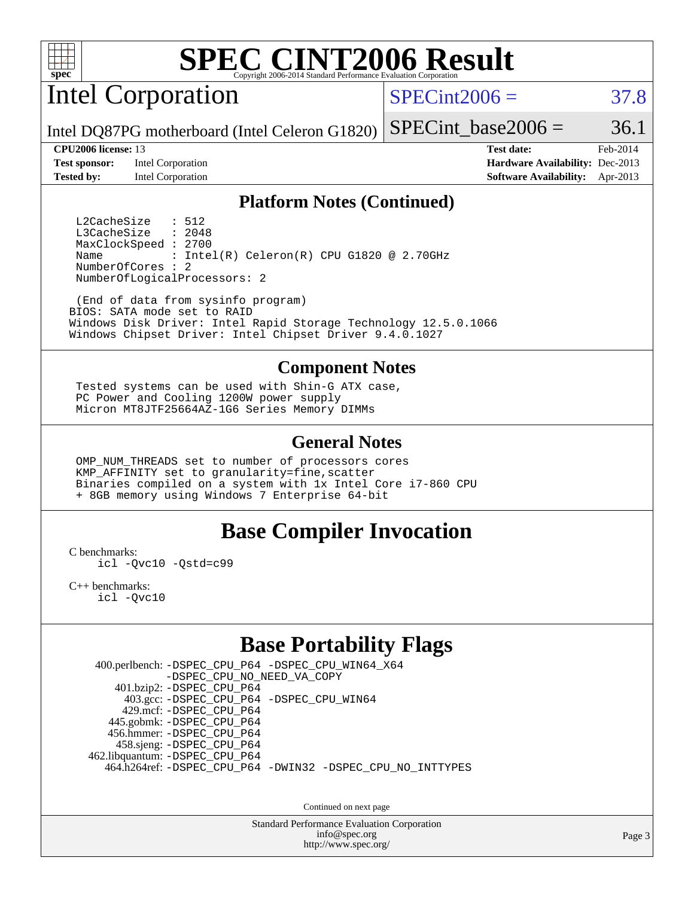

Intel Corporation

 $SPECint2006 = 37.8$  $SPECint2006 = 37.8$ 

Intel DQ87PG motherboard (Intel Celeron G1820) SPECint base2006 =  $36.1$ 

**[Test sponsor:](http://www.spec.org/auto/cpu2006/Docs/result-fields.html#Testsponsor)** Intel Corporation **[Hardware Availability:](http://www.spec.org/auto/cpu2006/Docs/result-fields.html#HardwareAvailability)** Dec-2013 **[Tested by:](http://www.spec.org/auto/cpu2006/Docs/result-fields.html#Testedby)** Intel Corporation **[Software Availability:](http://www.spec.org/auto/cpu2006/Docs/result-fields.html#SoftwareAvailability)** Apr-2013

**[CPU2006 license:](http://www.spec.org/auto/cpu2006/Docs/result-fields.html#CPU2006license)** 13 **[Test date:](http://www.spec.org/auto/cpu2006/Docs/result-fields.html#Testdate)** Feb-2014

#### **[Platform Notes \(Continued\)](http://www.spec.org/auto/cpu2006/Docs/result-fields.html#PlatformNotes)**

L2CacheSize : 512<br>L3CacheSize : 2048 L3CacheSize MaxClockSpeed : 2700 Name : Intel(R) Celeron(R) CPU G1820 @ 2.70GHz NumberOfCores : 2 NumberOfLogicalProcessors: 2

 (End of data from sysinfo program) BIOS: SATA mode set to RAID Windows Disk Driver: Intel Rapid Storage Technology 12.5.0.1066 Windows Chipset Driver: Intel Chipset Driver 9.4.0.1027

#### **[Component Notes](http://www.spec.org/auto/cpu2006/Docs/result-fields.html#ComponentNotes)**

 Tested systems can be used with Shin-G ATX case, PC Power and Cooling 1200W power supply Micron MT8JTF25664AZ-1G6 Series Memory DIMMs

#### **[General Notes](http://www.spec.org/auto/cpu2006/Docs/result-fields.html#GeneralNotes)**

 OMP\_NUM\_THREADS set to number of processors cores KMP\_AFFINITY set to granularity=fine,scatter Binaries compiled on a system with 1x Intel Core i7-860 CPU + 8GB memory using Windows 7 Enterprise 64-bit

### **[Base Compiler Invocation](http://www.spec.org/auto/cpu2006/Docs/result-fields.html#BaseCompilerInvocation)**

[C benchmarks](http://www.spec.org/auto/cpu2006/Docs/result-fields.html#Cbenchmarks):

[icl -Qvc10](http://www.spec.org/cpu2006/results/res2014q3/cpu2006-20140701-30239.flags.html#user_CCbase_intel_icc_vc10_9607f3ecbcdf68042245f068e51b40c1) [-Qstd=c99](http://www.spec.org/cpu2006/results/res2014q3/cpu2006-20140701-30239.flags.html#user_CCbase_intel_compiler_c99_mode_1a3d110e3041b3ad4466830521bdad2a)

[C++ benchmarks:](http://www.spec.org/auto/cpu2006/Docs/result-fields.html#CXXbenchmarks) [icl -Qvc10](http://www.spec.org/cpu2006/results/res2014q3/cpu2006-20140701-30239.flags.html#user_CXXbase_intel_icc_vc10_9607f3ecbcdf68042245f068e51b40c1)

## **[Base Portability Flags](http://www.spec.org/auto/cpu2006/Docs/result-fields.html#BasePortabilityFlags)**

 400.perlbench: [-DSPEC\\_CPU\\_P64](http://www.spec.org/cpu2006/results/res2014q3/cpu2006-20140701-30239.flags.html#b400.perlbench_basePORTABILITY_DSPEC_CPU_P64) [-DSPEC\\_CPU\\_WIN64\\_X64](http://www.spec.org/cpu2006/results/res2014q3/cpu2006-20140701-30239.flags.html#b400.perlbench_baseCPORTABILITY_DSPEC_CPU_WIN64_X64) [-DSPEC\\_CPU\\_NO\\_NEED\\_VA\\_COPY](http://www.spec.org/cpu2006/results/res2014q3/cpu2006-20140701-30239.flags.html#b400.perlbench_baseCPORTABILITY_DSPEC_CPU_NO_NEED_VA_COPY) 401.bzip2: [-DSPEC\\_CPU\\_P64](http://www.spec.org/cpu2006/results/res2014q3/cpu2006-20140701-30239.flags.html#suite_basePORTABILITY401_bzip2_DSPEC_CPU_P64) 403.gcc: [-DSPEC\\_CPU\\_P64](http://www.spec.org/cpu2006/results/res2014q3/cpu2006-20140701-30239.flags.html#suite_basePORTABILITY403_gcc_DSPEC_CPU_P64) [-DSPEC\\_CPU\\_WIN64](http://www.spec.org/cpu2006/results/res2014q3/cpu2006-20140701-30239.flags.html#b403.gcc_baseCPORTABILITY_DSPEC_CPU_WIN64) 429.mcf: [-DSPEC\\_CPU\\_P64](http://www.spec.org/cpu2006/results/res2014q3/cpu2006-20140701-30239.flags.html#suite_basePORTABILITY429_mcf_DSPEC_CPU_P64) 445.gobmk: [-DSPEC\\_CPU\\_P64](http://www.spec.org/cpu2006/results/res2014q3/cpu2006-20140701-30239.flags.html#suite_basePORTABILITY445_gobmk_DSPEC_CPU_P64) 456.hmmer: [-DSPEC\\_CPU\\_P64](http://www.spec.org/cpu2006/results/res2014q3/cpu2006-20140701-30239.flags.html#suite_basePORTABILITY456_hmmer_DSPEC_CPU_P64) 458.sjeng: [-DSPEC\\_CPU\\_P64](http://www.spec.org/cpu2006/results/res2014q3/cpu2006-20140701-30239.flags.html#suite_basePORTABILITY458_sjeng_DSPEC_CPU_P64) 462.libquantum: [-DSPEC\\_CPU\\_P64](http://www.spec.org/cpu2006/results/res2014q3/cpu2006-20140701-30239.flags.html#suite_basePORTABILITY462_libquantum_DSPEC_CPU_P64) 464.h264ref: [-DSPEC\\_CPU\\_P64](http://www.spec.org/cpu2006/results/res2014q3/cpu2006-20140701-30239.flags.html#suite_basePORTABILITY464_h264ref_DSPEC_CPU_P64) [-DWIN32](http://www.spec.org/cpu2006/results/res2014q3/cpu2006-20140701-30239.flags.html#b464.h264ref_baseCPORTABILITY_DWIN32) [-DSPEC\\_CPU\\_NO\\_INTTYPES](http://www.spec.org/cpu2006/results/res2014q3/cpu2006-20140701-30239.flags.html#b464.h264ref_baseCPORTABILITY_DSPEC_CPU_NO_INTTYPES)

Continued on next page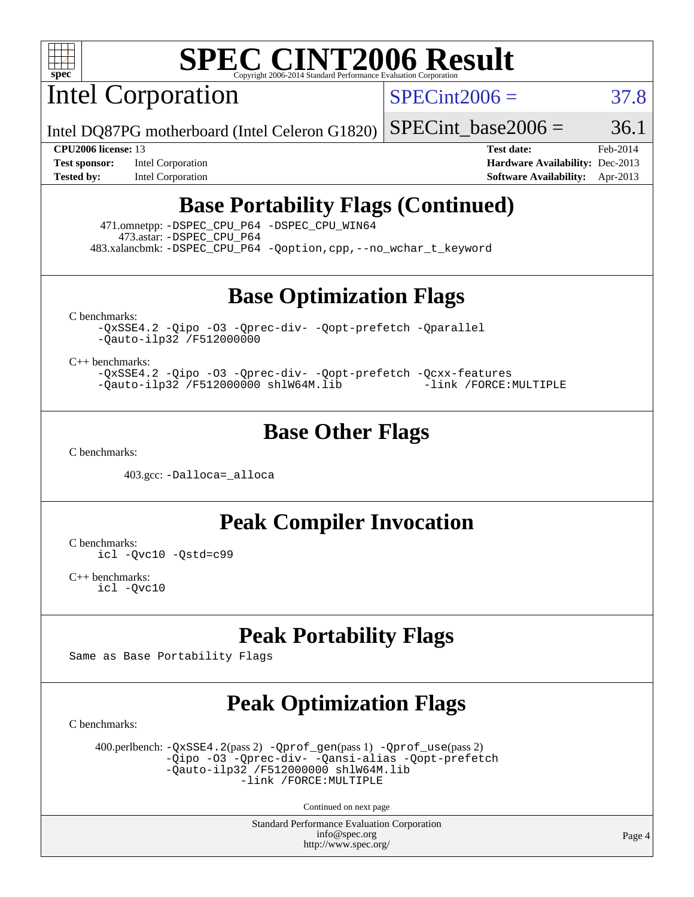

Intel Corporation

 $SPECint2006 = 37.8$  $SPECint2006 = 37.8$ 

Intel DQ87PG motherboard (Intel Celeron G1820) SPECint base2006 =  $36.1$ 

**[CPU2006 license:](http://www.spec.org/auto/cpu2006/Docs/result-fields.html#CPU2006license)** 13 **[Test date:](http://www.spec.org/auto/cpu2006/Docs/result-fields.html#Testdate)** Feb-2014 **[Test sponsor:](http://www.spec.org/auto/cpu2006/Docs/result-fields.html#Testsponsor)** Intel Corporation **[Hardware Availability:](http://www.spec.org/auto/cpu2006/Docs/result-fields.html#HardwareAvailability)** Dec-2013 **[Tested by:](http://www.spec.org/auto/cpu2006/Docs/result-fields.html#Testedby)** Intel Corporation **[Software Availability:](http://www.spec.org/auto/cpu2006/Docs/result-fields.html#SoftwareAvailability)** Apr-2013

# **[Base Portability Flags \(Continued\)](http://www.spec.org/auto/cpu2006/Docs/result-fields.html#BasePortabilityFlags)**

 471.omnetpp: [-DSPEC\\_CPU\\_P64](http://www.spec.org/cpu2006/results/res2014q3/cpu2006-20140701-30239.flags.html#suite_basePORTABILITY471_omnetpp_DSPEC_CPU_P64) [-DSPEC\\_CPU\\_WIN64](http://www.spec.org/cpu2006/results/res2014q3/cpu2006-20140701-30239.flags.html#b471.omnetpp_baseCXXPORTABILITY_DSPEC_CPU_WIN64) 473.astar: [-DSPEC\\_CPU\\_P64](http://www.spec.org/cpu2006/results/res2014q3/cpu2006-20140701-30239.flags.html#suite_basePORTABILITY473_astar_DSPEC_CPU_P64) 483.xalancbmk: [-DSPEC\\_CPU\\_P64](http://www.spec.org/cpu2006/results/res2014q3/cpu2006-20140701-30239.flags.html#suite_basePORTABILITY483_xalancbmk_DSPEC_CPU_P64) [-Qoption,cpp,--no\\_wchar\\_t\\_keyword](http://www.spec.org/cpu2006/results/res2014q3/cpu2006-20140701-30239.flags.html#user_baseCXXPORTABILITY483_xalancbmk_f-no_wchar_t_keyword_ec0ad4495a16b4e858bfcb29d949d25d)

**[Base Optimization Flags](http://www.spec.org/auto/cpu2006/Docs/result-fields.html#BaseOptimizationFlags)**

[C benchmarks](http://www.spec.org/auto/cpu2006/Docs/result-fields.html#Cbenchmarks):

[-QxSSE4.2](http://www.spec.org/cpu2006/results/res2014q3/cpu2006-20140701-30239.flags.html#user_CCbase_f-QxSSE42_372695bbe211719895df0310b324a1ca) [-Qipo](http://www.spec.org/cpu2006/results/res2014q3/cpu2006-20140701-30239.flags.html#user_CCbase_f-Qipo) [-O3](http://www.spec.org/cpu2006/results/res2014q3/cpu2006-20140701-30239.flags.html#user_CCbase_f-O3) [-Qprec-div-](http://www.spec.org/cpu2006/results/res2014q3/cpu2006-20140701-30239.flags.html#user_CCbase_f-Qprec-div-) [-Qopt-prefetch](http://www.spec.org/cpu2006/results/res2014q3/cpu2006-20140701-30239.flags.html#user_CCbase_f-Qprefetch_37c211608666b9dff9380561f602f0a8) [-Qparallel](http://www.spec.org/cpu2006/results/res2014q3/cpu2006-20140701-30239.flags.html#user_CCbase_f-Qparallel) [-Qauto-ilp32](http://www.spec.org/cpu2006/results/res2014q3/cpu2006-20140701-30239.flags.html#user_CCbase_f-Qauto-ilp32) [/F512000000](http://www.spec.org/cpu2006/results/res2014q3/cpu2006-20140701-30239.flags.html#user_CCbase_set_stack_space_98438a10eb60aa5f35f4c79d9b9b27b1)

[C++ benchmarks:](http://www.spec.org/auto/cpu2006/Docs/result-fields.html#CXXbenchmarks)

[-QxSSE4.2](http://www.spec.org/cpu2006/results/res2014q3/cpu2006-20140701-30239.flags.html#user_CXXbase_f-QxSSE42_372695bbe211719895df0310b324a1ca) [-Qipo](http://www.spec.org/cpu2006/results/res2014q3/cpu2006-20140701-30239.flags.html#user_CXXbase_f-Qipo) [-O3](http://www.spec.org/cpu2006/results/res2014q3/cpu2006-20140701-30239.flags.html#user_CXXbase_f-O3) [-Qprec-div-](http://www.spec.org/cpu2006/results/res2014q3/cpu2006-20140701-30239.flags.html#user_CXXbase_f-Qprec-div-) [-Qopt-prefetch](http://www.spec.org/cpu2006/results/res2014q3/cpu2006-20140701-30239.flags.html#user_CXXbase_f-Qprefetch_37c211608666b9dff9380561f602f0a8) [-Qcxx-features](http://www.spec.org/cpu2006/results/res2014q3/cpu2006-20140701-30239.flags.html#user_CXXbase_f-Qcxx_features_dbf36c8a6dba956e22f1645e4dcd4d98) [-Qauto-ilp32](http://www.spec.org/cpu2006/results/res2014q3/cpu2006-20140701-30239.flags.html#user_CXXbase_f-Qauto-ilp32) [/F512000000](http://www.spec.org/cpu2006/results/res2014q3/cpu2006-20140701-30239.flags.html#user_CXXbase_set_stack_space_98438a10eb60aa5f35f4c79d9b9b27b1) [shlW64M.lib](http://www.spec.org/cpu2006/results/res2014q3/cpu2006-20140701-30239.flags.html#user_CXXbase_SmartHeap64_c4f7f76711bdf8c0633a5c1edf6e5396) [-link /FORCE:MULTIPLE](http://www.spec.org/cpu2006/results/res2014q3/cpu2006-20140701-30239.flags.html#user_CXXbase_link_force_multiple2_070fe330869edf77077b841074b8b0b6)

## **[Base Other Flags](http://www.spec.org/auto/cpu2006/Docs/result-fields.html#BaseOtherFlags)**

[C benchmarks](http://www.spec.org/auto/cpu2006/Docs/result-fields.html#Cbenchmarks):

403.gcc: [-Dalloca=\\_alloca](http://www.spec.org/cpu2006/results/res2014q3/cpu2006-20140701-30239.flags.html#b403.gcc_baseEXTRA_CFLAGS_Dalloca_be3056838c12de2578596ca5467af7f3)

**[Peak Compiler Invocation](http://www.spec.org/auto/cpu2006/Docs/result-fields.html#PeakCompilerInvocation)**

[C benchmarks](http://www.spec.org/auto/cpu2006/Docs/result-fields.html#Cbenchmarks): [icl -Qvc10](http://www.spec.org/cpu2006/results/res2014q3/cpu2006-20140701-30239.flags.html#user_CCpeak_intel_icc_vc10_9607f3ecbcdf68042245f068e51b40c1) [-Qstd=c99](http://www.spec.org/cpu2006/results/res2014q3/cpu2006-20140701-30239.flags.html#user_CCpeak_intel_compiler_c99_mode_1a3d110e3041b3ad4466830521bdad2a)

[C++ benchmarks:](http://www.spec.org/auto/cpu2006/Docs/result-fields.html#CXXbenchmarks) [icl -Qvc10](http://www.spec.org/cpu2006/results/res2014q3/cpu2006-20140701-30239.flags.html#user_CXXpeak_intel_icc_vc10_9607f3ecbcdf68042245f068e51b40c1)

# **[Peak Portability Flags](http://www.spec.org/auto/cpu2006/Docs/result-fields.html#PeakPortabilityFlags)**

Same as Base Portability Flags

# **[Peak Optimization Flags](http://www.spec.org/auto/cpu2006/Docs/result-fields.html#PeakOptimizationFlags)**

[C benchmarks](http://www.spec.org/auto/cpu2006/Docs/result-fields.html#Cbenchmarks):

 400.perlbench: [-QxSSE4.2](http://www.spec.org/cpu2006/results/res2014q3/cpu2006-20140701-30239.flags.html#user_peakPASS2_CFLAGSPASS2_LDFLAGS400_perlbench_f-QxSSE42_372695bbe211719895df0310b324a1ca)(pass 2) [-Qprof\\_gen](http://www.spec.org/cpu2006/results/res2014q3/cpu2006-20140701-30239.flags.html#user_peakPASS1_CFLAGSPASS1_LDFLAGS400_perlbench_Qprof_gen)(pass 1) [-Qprof\\_use](http://www.spec.org/cpu2006/results/res2014q3/cpu2006-20140701-30239.flags.html#user_peakPASS2_CFLAGSPASS2_LDFLAGS400_perlbench_Qprof_use)(pass 2) [-Qipo](http://www.spec.org/cpu2006/results/res2014q3/cpu2006-20140701-30239.flags.html#user_peakOPTIMIZE400_perlbench_f-Qipo) [-O3](http://www.spec.org/cpu2006/results/res2014q3/cpu2006-20140701-30239.flags.html#user_peakOPTIMIZE400_perlbench_f-O3) [-Qprec-div-](http://www.spec.org/cpu2006/results/res2014q3/cpu2006-20140701-30239.flags.html#user_peakOPTIMIZE400_perlbench_f-Qprec-div-) [-Qansi-alias](http://www.spec.org/cpu2006/results/res2014q3/cpu2006-20140701-30239.flags.html#user_peakOPTIMIZE400_perlbench_f-Qansi-alias) [-Qopt-prefetch](http://www.spec.org/cpu2006/results/res2014q3/cpu2006-20140701-30239.flags.html#user_peakOPTIMIZE400_perlbench_f-Qprefetch_37c211608666b9dff9380561f602f0a8)  $-\tilde{Q}$ auto-ilp32 [/F512000000](http://www.spec.org/cpu2006/results/res2014q3/cpu2006-20140701-30239.flags.html#user_peakEXTRA_LDFLAGS400_perlbench_set_stack_space_98438a10eb60aa5f35f4c79d9b9b27b1) [shlW64M.lib](http://www.spec.org/cpu2006/results/res2014q3/cpu2006-20140701-30239.flags.html#user_peakEXTRA_LIBS400_perlbench_SmartHeap64_c4f7f76711bdf8c0633a5c1edf6e5396)  [-link /FORCE:MULTIPLE](http://www.spec.org/cpu2006/results/res2014q3/cpu2006-20140701-30239.flags.html#user_peakLDOUT400_perlbench_link_force_multiple2_070fe330869edf77077b841074b8b0b6)

Continued on next page

Standard Performance Evaluation Corporation [info@spec.org](mailto:info@spec.org) <http://www.spec.org/>

Page 4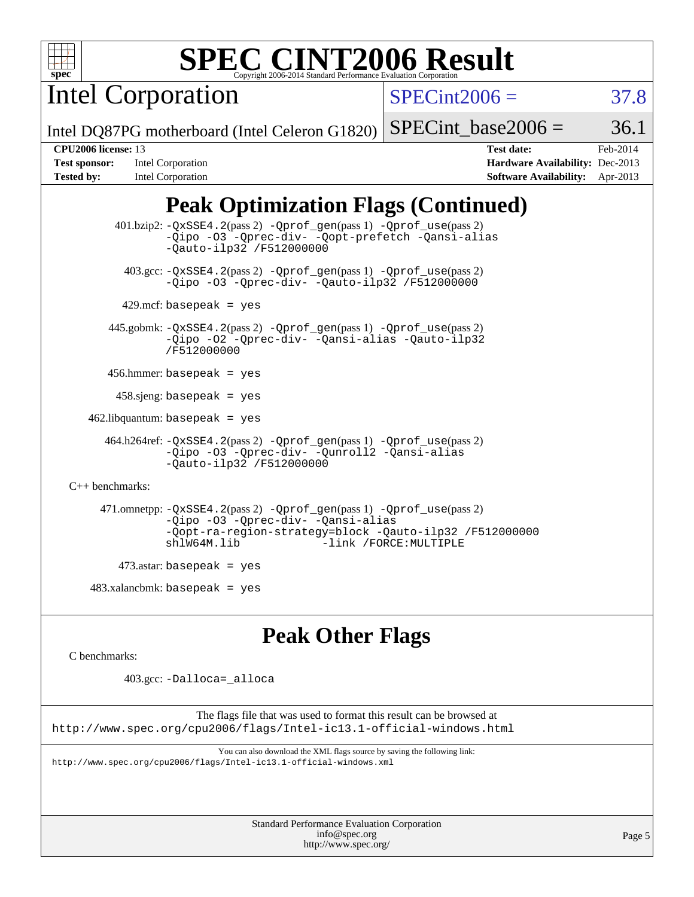

Intel Corporation

 $SPECint2006 = 37.8$  $SPECint2006 = 37.8$ 

Intel DQ87PG motherboard (Intel Celeron G1820)

#### SPECint base2006 =  $36.1$

| <b>Test sponsor:</b> | Intel Corporation |
|----------------------|-------------------|
| <b>Tested by:</b>    | Intel Corporation |

**[CPU2006 license:](http://www.spec.org/auto/cpu2006/Docs/result-fields.html#CPU2006license)** 13 **[Test date:](http://www.spec.org/auto/cpu2006/Docs/result-fields.html#Testdate)** Feb-2014 **[Hardware Availability:](http://www.spec.org/auto/cpu2006/Docs/result-fields.html#HardwareAvailability)** Dec-2013 **[Software Availability:](http://www.spec.org/auto/cpu2006/Docs/result-fields.html#SoftwareAvailability)** Apr-2013

# **[Peak Optimization Flags \(Continued\)](http://www.spec.org/auto/cpu2006/Docs/result-fields.html#PeakOptimizationFlags)**

 401.bzip2: [-QxSSE4.2](http://www.spec.org/cpu2006/results/res2014q3/cpu2006-20140701-30239.flags.html#user_peakPASS2_CFLAGSPASS2_LDFLAGS401_bzip2_f-QxSSE42_372695bbe211719895df0310b324a1ca)(pass 2) [-Qprof\\_gen](http://www.spec.org/cpu2006/results/res2014q3/cpu2006-20140701-30239.flags.html#user_peakPASS1_CFLAGSPASS1_LDFLAGS401_bzip2_Qprof_gen)(pass 1) [-Qprof\\_use](http://www.spec.org/cpu2006/results/res2014q3/cpu2006-20140701-30239.flags.html#user_peakPASS2_CFLAGSPASS2_LDFLAGS401_bzip2_Qprof_use)(pass 2) [-Qipo](http://www.spec.org/cpu2006/results/res2014q3/cpu2006-20140701-30239.flags.html#user_peakOPTIMIZE401_bzip2_f-Qipo) [-O3](http://www.spec.org/cpu2006/results/res2014q3/cpu2006-20140701-30239.flags.html#user_peakOPTIMIZE401_bzip2_f-O3) [-Qprec-div-](http://www.spec.org/cpu2006/results/res2014q3/cpu2006-20140701-30239.flags.html#user_peakOPTIMIZE401_bzip2_f-Qprec-div-) [-Qopt-prefetch](http://www.spec.org/cpu2006/results/res2014q3/cpu2006-20140701-30239.flags.html#user_peakOPTIMIZE401_bzip2_f-Qprefetch_37c211608666b9dff9380561f602f0a8) [-Qansi-alias](http://www.spec.org/cpu2006/results/res2014q3/cpu2006-20140701-30239.flags.html#user_peakOPTIMIZE401_bzip2_f-Qansi-alias) [-Qauto-ilp32](http://www.spec.org/cpu2006/results/res2014q3/cpu2006-20140701-30239.flags.html#user_peakCOPTIMIZE401_bzip2_f-Qauto-ilp32) [/F512000000](http://www.spec.org/cpu2006/results/res2014q3/cpu2006-20140701-30239.flags.html#user_peakEXTRA_LDFLAGS401_bzip2_set_stack_space_98438a10eb60aa5f35f4c79d9b9b27b1) 403.gcc: [-QxSSE4.2](http://www.spec.org/cpu2006/results/res2014q3/cpu2006-20140701-30239.flags.html#user_peakPASS2_CFLAGSPASS2_LDFLAGS403_gcc_f-QxSSE42_372695bbe211719895df0310b324a1ca)(pass 2) [-Qprof\\_gen](http://www.spec.org/cpu2006/results/res2014q3/cpu2006-20140701-30239.flags.html#user_peakPASS1_CFLAGSPASS1_LDFLAGS403_gcc_Qprof_gen)(pass 1) [-Qprof\\_use](http://www.spec.org/cpu2006/results/res2014q3/cpu2006-20140701-30239.flags.html#user_peakPASS2_CFLAGSPASS2_LDFLAGS403_gcc_Qprof_use)(pass 2) [-Qipo](http://www.spec.org/cpu2006/results/res2014q3/cpu2006-20140701-30239.flags.html#user_peakOPTIMIZE403_gcc_f-Qipo) [-O3](http://www.spec.org/cpu2006/results/res2014q3/cpu2006-20140701-30239.flags.html#user_peakOPTIMIZE403_gcc_f-O3) [-Qprec-div-](http://www.spec.org/cpu2006/results/res2014q3/cpu2006-20140701-30239.flags.html#user_peakOPTIMIZE403_gcc_f-Qprec-div-) [-Qauto-ilp32](http://www.spec.org/cpu2006/results/res2014q3/cpu2006-20140701-30239.flags.html#user_peakCOPTIMIZE403_gcc_f-Qauto-ilp32) [/F512000000](http://www.spec.org/cpu2006/results/res2014q3/cpu2006-20140701-30239.flags.html#user_peakEXTRA_LDFLAGS403_gcc_set_stack_space_98438a10eb60aa5f35f4c79d9b9b27b1)  $429$ .mcf: basepeak = yes 445.gobmk: [-QxSSE4.2](http://www.spec.org/cpu2006/results/res2014q3/cpu2006-20140701-30239.flags.html#user_peakPASS2_CFLAGSPASS2_LDFLAGS445_gobmk_f-QxSSE42_372695bbe211719895df0310b324a1ca)(pass 2) [-Qprof\\_gen](http://www.spec.org/cpu2006/results/res2014q3/cpu2006-20140701-30239.flags.html#user_peakPASS1_CFLAGSPASS1_LDFLAGS445_gobmk_Qprof_gen)(pass 1) [-Qprof\\_use](http://www.spec.org/cpu2006/results/res2014q3/cpu2006-20140701-30239.flags.html#user_peakPASS2_CFLAGSPASS2_LDFLAGS445_gobmk_Qprof_use)(pass 2) [-Qipo](http://www.spec.org/cpu2006/results/res2014q3/cpu2006-20140701-30239.flags.html#user_peakOPTIMIZE445_gobmk_f-Qipo) [-O2](http://www.spec.org/cpu2006/results/res2014q3/cpu2006-20140701-30239.flags.html#user_peakOPTIMIZE445_gobmk_f-O2) [-Qprec-div-](http://www.spec.org/cpu2006/results/res2014q3/cpu2006-20140701-30239.flags.html#user_peakOPTIMIZE445_gobmk_f-Qprec-div-) [-Qansi-alias](http://www.spec.org/cpu2006/results/res2014q3/cpu2006-20140701-30239.flags.html#user_peakOPTIMIZE445_gobmk_f-Qansi-alias) [-Qauto-ilp32](http://www.spec.org/cpu2006/results/res2014q3/cpu2006-20140701-30239.flags.html#user_peakCOPTIMIZE445_gobmk_f-Qauto-ilp32) [/F512000000](http://www.spec.org/cpu2006/results/res2014q3/cpu2006-20140701-30239.flags.html#user_peakEXTRA_LDFLAGS445_gobmk_set_stack_space_98438a10eb60aa5f35f4c79d9b9b27b1) 456.hmmer: basepeak = yes  $458 \text{.}$ sjeng: basepeak = yes  $462$ .libquantum: basepeak = yes 464.h264ref: [-QxSSE4.2](http://www.spec.org/cpu2006/results/res2014q3/cpu2006-20140701-30239.flags.html#user_peakPASS2_CFLAGSPASS2_LDFLAGS464_h264ref_f-QxSSE42_372695bbe211719895df0310b324a1ca)(pass 2) [-Qprof\\_gen](http://www.spec.org/cpu2006/results/res2014q3/cpu2006-20140701-30239.flags.html#user_peakPASS1_CFLAGSPASS1_LDFLAGS464_h264ref_Qprof_gen)(pass 1) [-Qprof\\_use](http://www.spec.org/cpu2006/results/res2014q3/cpu2006-20140701-30239.flags.html#user_peakPASS2_CFLAGSPASS2_LDFLAGS464_h264ref_Qprof_use)(pass 2) [-Qipo](http://www.spec.org/cpu2006/results/res2014q3/cpu2006-20140701-30239.flags.html#user_peakOPTIMIZE464_h264ref_f-Qipo) [-O3](http://www.spec.org/cpu2006/results/res2014q3/cpu2006-20140701-30239.flags.html#user_peakOPTIMIZE464_h264ref_f-O3) [-Qprec-div-](http://www.spec.org/cpu2006/results/res2014q3/cpu2006-20140701-30239.flags.html#user_peakOPTIMIZE464_h264ref_f-Qprec-div-) [-Qunroll2](http://www.spec.org/cpu2006/results/res2014q3/cpu2006-20140701-30239.flags.html#user_peakOPTIMIZE464_h264ref_f-Qunroll_1d9456aa650e77fc2a0cf43cef3fa08c) [-Qansi-alias](http://www.spec.org/cpu2006/results/res2014q3/cpu2006-20140701-30239.flags.html#user_peakOPTIMIZE464_h264ref_f-Qansi-alias) [-Qauto-ilp32](http://www.spec.org/cpu2006/results/res2014q3/cpu2006-20140701-30239.flags.html#user_peakCOPTIMIZE464_h264ref_f-Qauto-ilp32) [/F512000000](http://www.spec.org/cpu2006/results/res2014q3/cpu2006-20140701-30239.flags.html#user_peakEXTRA_LDFLAGS464_h264ref_set_stack_space_98438a10eb60aa5f35f4c79d9b9b27b1) [C++ benchmarks:](http://www.spec.org/auto/cpu2006/Docs/result-fields.html#CXXbenchmarks) 471.omnetpp: [-QxSSE4.2](http://www.spec.org/cpu2006/results/res2014q3/cpu2006-20140701-30239.flags.html#user_peakPASS2_CXXFLAGSPASS2_LDFLAGS471_omnetpp_f-QxSSE42_372695bbe211719895df0310b324a1ca)(pass 2) [-Qprof\\_gen](http://www.spec.org/cpu2006/results/res2014q3/cpu2006-20140701-30239.flags.html#user_peakPASS1_CXXFLAGSPASS1_LDFLAGS471_omnetpp_Qprof_gen)(pass 1) [-Qprof\\_use](http://www.spec.org/cpu2006/results/res2014q3/cpu2006-20140701-30239.flags.html#user_peakPASS2_CXXFLAGSPASS2_LDFLAGS471_omnetpp_Qprof_use)(pass 2) [-Qipo](http://www.spec.org/cpu2006/results/res2014q3/cpu2006-20140701-30239.flags.html#user_peakOPTIMIZE471_omnetpp_f-Qipo) [-O3](http://www.spec.org/cpu2006/results/res2014q3/cpu2006-20140701-30239.flags.html#user_peakOPTIMIZE471_omnetpp_f-O3) [-Qprec-div-](http://www.spec.org/cpu2006/results/res2014q3/cpu2006-20140701-30239.flags.html#user_peakOPTIMIZE471_omnetpp_f-Qprec-div-) [-Qansi-alias](http://www.spec.org/cpu2006/results/res2014q3/cpu2006-20140701-30239.flags.html#user_peakOPTIMIZE471_omnetpp_f-Qansi-alias) [-Qopt-ra-region-strategy=block](http://www.spec.org/cpu2006/results/res2014q3/cpu2006-20140701-30239.flags.html#user_peakOPTIMIZE471_omnetpp_f-Qopt-ra-region-strategy_d2240e80a5d9053a1fd400255dbf4159) [-Qauto-ilp32](http://www.spec.org/cpu2006/results/res2014q3/cpu2006-20140701-30239.flags.html#user_peakCXXOPTIMIZE471_omnetpp_f-Qauto-ilp32) [/F512000000](http://www.spec.org/cpu2006/results/res2014q3/cpu2006-20140701-30239.flags.html#user_peakEXTRA_LDFLAGS471_omnetpp_set_stack_space_98438a10eb60aa5f35f4c79d9b9b27b1) [shlW64M.lib](http://www.spec.org/cpu2006/results/res2014q3/cpu2006-20140701-30239.flags.html#user_peakEXTRA_LIBS471_omnetpp_SmartHeap64_c4f7f76711bdf8c0633a5c1edf6e5396) [-link /FORCE:MULTIPLE](http://www.spec.org/cpu2006/results/res2014q3/cpu2006-20140701-30239.flags.html#user_peakLDOUT471_omnetpp_link_force_multiple2_070fe330869edf77077b841074b8b0b6)  $473$ .astar: basepeak = yes  $483.xalanchmk: basepeak = yes$ 

## **[Peak Other Flags](http://www.spec.org/auto/cpu2006/Docs/result-fields.html#PeakOtherFlags)**

[C benchmarks](http://www.spec.org/auto/cpu2006/Docs/result-fields.html#Cbenchmarks):

403.gcc: [-Dalloca=\\_alloca](http://www.spec.org/cpu2006/results/res2014q3/cpu2006-20140701-30239.flags.html#b403.gcc_peakEXTRA_CFLAGS_Dalloca_be3056838c12de2578596ca5467af7f3)

The flags file that was used to format this result can be browsed at <http://www.spec.org/cpu2006/flags/Intel-ic13.1-official-windows.html>

You can also download the XML flags source by saving the following link: <http://www.spec.org/cpu2006/flags/Intel-ic13.1-official-windows.xml>